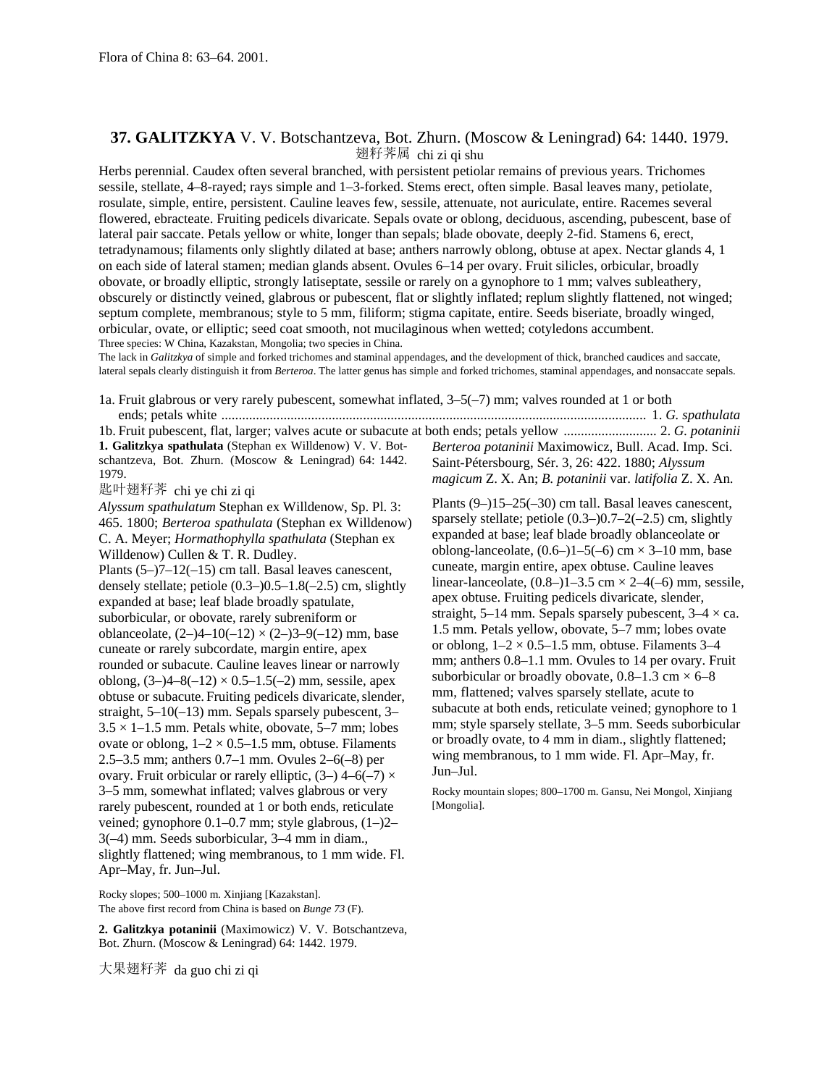## **37. GALITZKYA** V. V. Botschantzeva, Bot. Zhurn. (Moscow & Leningrad) 64: 1440. 1979. 翅籽荠属 chi zi qi shu

Herbs perennial. Caudex often several branched, with persistent petiolar remains of previous years. Trichomes sessile, stellate, 4–8-rayed; rays simple and 1–3-forked. Stems erect, often simple. Basal leaves many, petiolate, rosulate, simple, entire, persistent. Cauline leaves few, sessile, attenuate, not auriculate, entire. Racemes several flowered, ebracteate. Fruiting pedicels divaricate. Sepals ovate or oblong, deciduous, ascending, pubescent, base of lateral pair saccate. Petals yellow or white, longer than sepals; blade obovate, deeply 2-fid. Stamens 6, erect, tetradynamous; filaments only slightly dilated at base; anthers narrowly oblong, obtuse at apex. Nectar glands 4, 1 on each side of lateral stamen; median glands absent. Ovules 6–14 per ovary. Fruit silicles, orbicular, broadly obovate, or broadly elliptic, strongly latiseptate, sessile or rarely on a gynophore to 1 mm; valves subleathery, obscurely or distinctly veined, glabrous or pubescent, flat or slightly inflated; replum slightly flattened, not winged; septum complete, membranous; style to 5 mm, filiform; stigma capitate, entire. Seeds biseriate, broadly winged, orbicular, ovate, or elliptic; seed coat smooth, not mucilaginous when wetted; cotyledons accumbent. Three species: W China, Kazakstan, Mongolia; two species in China.

The lack in *Galitzkya* of simple and forked trichomes and staminal appendages, and the development of thick, branched caudices and saccate, lateral sepals clearly distinguish it from *Berteroa*. The latter genus has simple and forked trichomes, staminal appendages, and nonsaccate sepals.

1a. Fruit glabrous or very rarely pubescent, somewhat inflated, 3–5(–7) mm; valves rounded at 1 or both ends; petals white ........................................................................................................................... 1. *G. spathulata* 1b. Fruit pubescent, flat, larger; valves acute or subacute at both ends; petals yellow ........................... 2. *G. potaninii* **1. Galitzkya spathulata** (Stephan ex Willdenow) V. V. Botschantzeva, Bot. Zhurn. (Moscow & Leningrad) 64: 1442. 1979. *Berteroa potaninii* Maximowicz, Bull. Acad. Imp. Sci. Saint-Pétersbourg, Sér. 3, 26: 422. 1880; *Alyssum* 

匙叶翅籽荠 chi ye chi zi qi

*Alyssum spathulatum* Stephan ex Willdenow, Sp. Pl. 3: 465. 1800; *Berteroa spathulata* (Stephan ex Willdenow) C. A. Meyer; *Hormathophylla spathulata* (Stephan ex Willdenow) Cullen & T. R. Dudley.

Plants (5–)7–12(–15) cm tall. Basal leaves canescent, densely stellate; petiole (0.3–)0.5–1.8(–2.5) cm, slightly expanded at base; leaf blade broadly spatulate, suborbicular, or obovate, rarely subreniform or oblanceolate,  $(2-4-10(-12) \times (2-3-9(-12) \text{ mm})$ , base cuneate or rarely subcordate, margin entire, apex rounded or subacute. Cauline leaves linear or narrowly oblong,  $(3-4-8(-12) \times 0.5-1.5(-2)$  mm, sessile, apex obtuse or subacute. Fruiting pedicels divaricate, slender, straight, 5–10(–13) mm. Sepals sparsely pubescent, 3–  $3.5 \times 1 - 1.5$  mm. Petals white, obovate, 5–7 mm; lobes ovate or oblong,  $1-2 \times 0.5-1.5$  mm, obtuse. Filaments 2.5–3.5 mm; anthers 0.7–1 mm. Ovules 2–6(–8) per ovary. Fruit orbicular or rarely elliptic,  $(3-)$  4–6(-7)  $\times$ 3–5 mm, somewhat inflated; valves glabrous or very rarely pubescent, rounded at 1 or both ends, reticulate veined; gynophore 0.1–0.7 mm; style glabrous, (1–)2– 3(–4) mm. Seeds suborbicular, 3–4 mm in diam., slightly flattened; wing membranous, to 1 mm wide. Fl. Apr–May, fr. Jun–Jul.

Rocky slopes; 500–1000 m. Xinjiang [Kazakstan]. The above first record from China is based on *Bunge 73* (F).

**2. Galitzkya potaninii** (Maximowicz) V. V. Botschantzeva, Bot. Zhurn. (Moscow & Leningrad) 64: 1442. 1979.

大果翅籽荠 da guo chi zi qi

*magicum* Z. X. An; *B. potaninii* var. *latifolia* Z. X. An.

Plants (9–)15–25(–30) cm tall. Basal leaves canescent, sparsely stellate; petiole (0.3–)0.7–2(–2.5) cm, slightly expanded at base; leaf blade broadly oblanceolate or oblong-lanceolate,  $(0.6-11-5(-6)$  cm  $\times$  3-10 mm, base cuneate, margin entire, apex obtuse. Cauline leaves linear-lanceolate,  $(0.8-1)$  – 3.5 cm  $\times$  2–4(–6) mm, sessile, apex obtuse. Fruiting pedicels divaricate, slender, straight, 5–14 mm. Sepals sparsely pubescent,  $3-4 \times ca$ . 1.5 mm. Petals yellow, obovate, 5–7 mm; lobes ovate or oblong,  $1-2 \times 0.5-1.5$  mm, obtuse. Filaments 3-4 mm; anthers 0.8–1.1 mm. Ovules to 14 per ovary. Fruit suborbicular or broadly obovate,  $0.8-1.3$  cm  $\times$  6–8 mm, flattened; valves sparsely stellate, acute to subacute at both ends, reticulate veined; gynophore to 1 mm; style sparsely stellate, 3–5 mm. Seeds suborbicular or broadly ovate, to 4 mm in diam., slightly flattened; wing membranous, to 1 mm wide. Fl. Apr–May, fr. Jun–Jul.

Rocky mountain slopes; 800–1700 m. Gansu, Nei Mongol, Xinjiang [Mongolia].